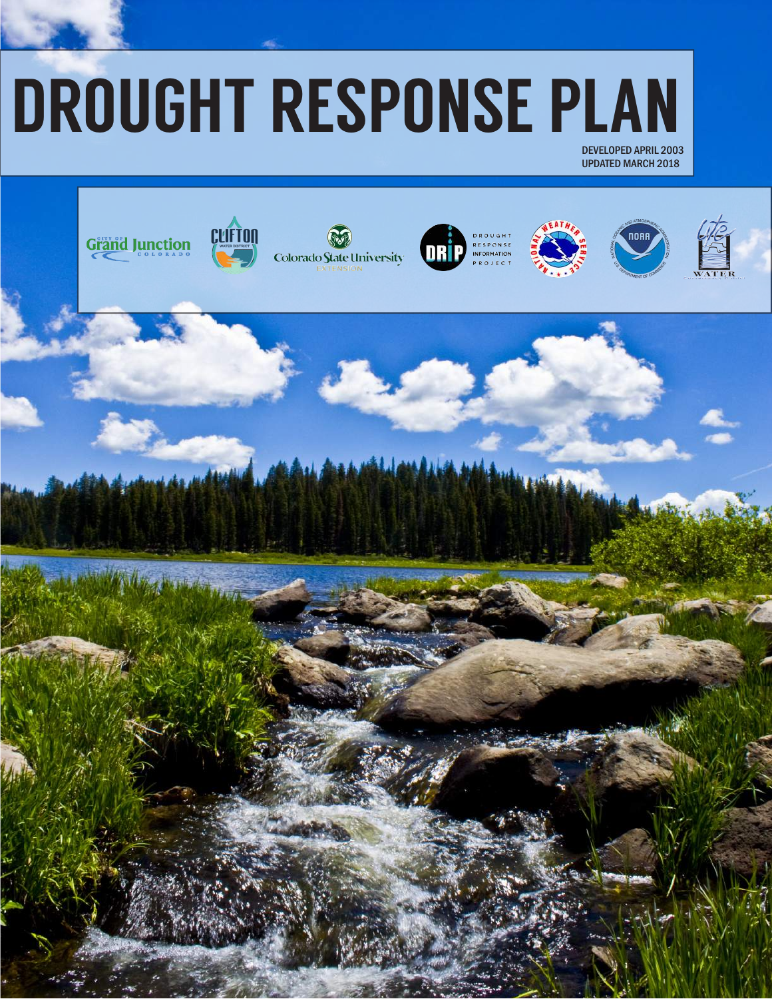# DROUGHT RESPONSE PLAN

DEVELOPED APRIL 2003 UPDATED MARCH 2018

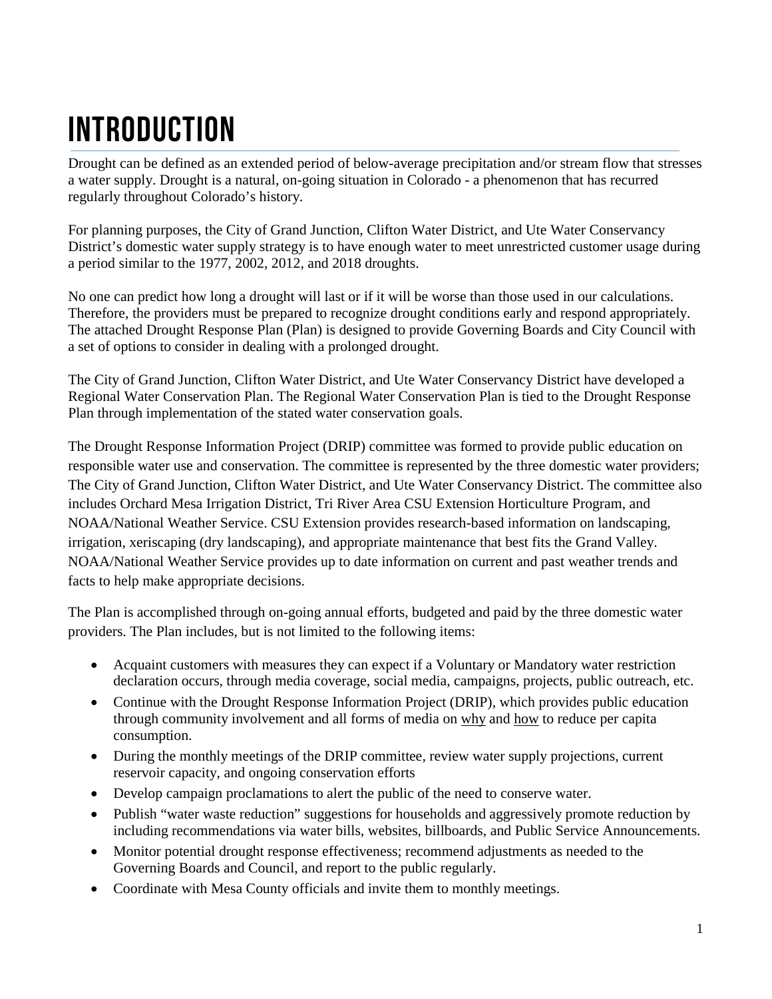# INTRODUCTION

Drought can be defined as an extended period of below-average precipitation and/or stream flow that stresses a water supply. Drought is a natural, on-going situation in Colorado - a phenomenon that has recurred regularly throughout Colorado's history.

For planning purposes, the City of Grand Junction, Clifton Water District, and Ute Water Conservancy District's domestic water supply strategy is to have enough water to meet unrestricted customer usage during a period similar to the 1977, 2002, 2012, and 2018 droughts.

No one can predict how long a drought will last or if it will be worse than those used in our calculations. Therefore, the providers must be prepared to recognize drought conditions early and respond appropriately. The attached Drought Response Plan (Plan) is designed to provide Governing Boards and City Council with a set of options to consider in dealing with a prolonged drought.

The City of Grand Junction, Clifton Water District, and Ute Water Conservancy District have developed a Regional Water Conservation Plan. The Regional Water Conservation Plan is tied to the Drought Response Plan through implementation of the stated water conservation goals.

The Drought Response Information Project (DRIP) committee was formed to provide public education on responsible water use and conservation. The committee is represented by the three domestic water providers; The City of Grand Junction, Clifton Water District, and Ute Water Conservancy District. The committee also includes Orchard Mesa Irrigation District, Tri River Area CSU Extension Horticulture Program, and NOAA/National Weather Service. CSU Extension provides research-based information on landscaping, irrigation, xeriscaping (dry landscaping), and appropriate maintenance that best fits the Grand Valley. NOAA/National Weather Service provides up to date information on current and past weather trends and facts to help make appropriate decisions.

The Plan is accomplished through on-going annual efforts, budgeted and paid by the three domestic water providers. The Plan includes, but is not limited to the following items:

- Acquaint customers with measures they can expect if a Voluntary or Mandatory water restriction declaration occurs, through media coverage, social media, campaigns, projects, public outreach, etc.
- Continue with the Drought Response Information Project (DRIP), which provides public education through community involvement and all forms of media on why and how to reduce per capita consumption.
- During the monthly meetings of the DRIP committee, review water supply projections, current reservoir capacity, and ongoing conservation efforts
- Develop campaign proclamations to alert the public of the need to conserve water.
- Publish "water waste reduction" suggestions for households and aggressively promote reduction by including recommendations via water bills, websites, billboards, and Public Service Announcements.
- Monitor potential drought response effectiveness; recommend adjustments as needed to the Governing Boards and Council, and report to the public regularly.
- Coordinate with Mesa County officials and invite them to monthly meetings.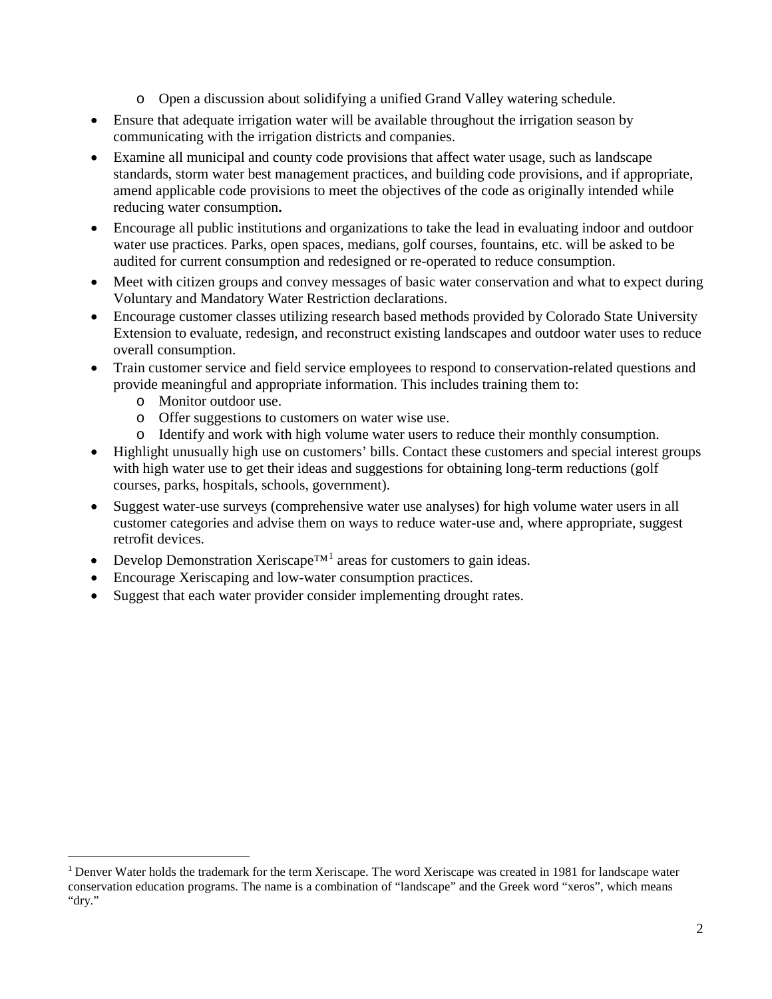- o Open a discussion about solidifying a unified Grand Valley watering schedule.
- Ensure that adequate irrigation water will be available throughout the irrigation season by communicating with the irrigation districts and companies.
- Examine all municipal and county code provisions that affect water usage, such as landscape standards, storm water best management practices, and building code provisions, and if appropriate, amend applicable code provisions to meet the objectives of the code as originally intended while reducing water consumption**.**
- Encourage all public institutions and organizations to take the lead in evaluating indoor and outdoor water use practices. Parks, open spaces, medians, golf courses, fountains, etc. will be asked to be audited for current consumption and redesigned or re-operated to reduce consumption.
- Meet with citizen groups and convey messages of basic water conservation and what to expect during Voluntary and Mandatory Water Restriction declarations.
- Encourage customer classes utilizing research based methods provided by Colorado State University Extension to evaluate, redesign, and reconstruct existing landscapes and outdoor water uses to reduce overall consumption.
- Train customer service and field service employees to respond to conservation-related questions and provide meaningful and appropriate information. This includes training them to:
	- o Monitor outdoor use.
	- o Offer suggestions to customers on water wise use.
	- o Identify and work with high volume water users to reduce their monthly consumption.
- Highlight unusually high use on customers' bills. Contact these customers and special interest groups with high water use to get their ideas and suggestions for obtaining long-term reductions (golf courses, parks, hospitals, schools, government).
- Suggest water-use surveys (comprehensive water use analyses) for high volume water users in all customer categories and advise them on ways to reduce water-use and, where appropriate, suggest retrofit devices.
- Develop Demonstration Xeriscape<sup>TM[1](#page-2-0)</sup> areas for customers to gain ideas.
- Encourage Xeriscaping and low-water consumption practices.
- Suggest that each water provider consider implementing drought rates.

<span id="page-2-0"></span> <sup>1</sup> Denver Water holds the trademark for the term Xeriscape. The word Xeriscape was created in 1981 for landscape water conservation education programs. The name is a combination of "landscape" and the Greek word "xeros", which means "dry."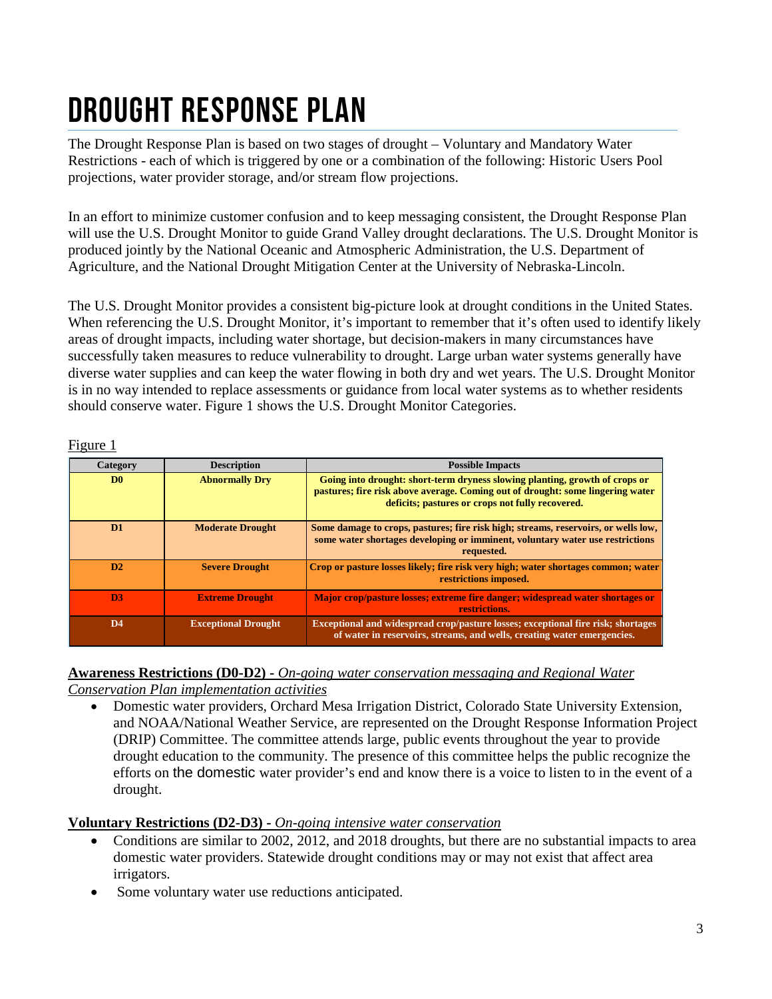# Drought response plan

The Drought Response Plan is based on two stages of drought – Voluntary and Mandatory Water Restrictions - each of which is triggered by one or a combination of the following: Historic Users Pool projections, water provider storage, and/or stream flow projections.

In an effort to minimize customer confusion and to keep messaging consistent, the Drought Response Plan will use the U.S. Drought Monitor to guide Grand Valley drought declarations. The U.S. Drought Monitor is produced jointly by the National Oceanic and Atmospheric Administration, the U.S. Department of Agriculture, and the National Drought Mitigation Center at the University of Nebraska-Lincoln.

The U.S. Drought Monitor provides a consistent big-picture look at drought conditions in the United States. When referencing the U.S. Drought Monitor, it's important to remember that it's often used to identify likely areas of drought impacts, including water shortage, but decision-makers in many circumstances have successfully taken measures to reduce vulnerability to drought. Large urban water systems generally have diverse water supplies and can keep the water flowing in both dry and wet years. The U.S. Drought Monitor is in no way intended to replace assessments or guidance from local water systems as to whether residents should conserve water. Figure 1 shows the U.S. Drought Monitor Categories.

| Category       | <b>Description</b>         | <b>Possible Impacts</b>                                                                                                                                                                                           |
|----------------|----------------------------|-------------------------------------------------------------------------------------------------------------------------------------------------------------------------------------------------------------------|
| D <sub>0</sub> | <b>Abnormally Drv</b>      | Going into drought: short-term dryness slowing planting, growth of crops or<br>pastures; fire risk above average. Coming out of drought: some lingering water<br>deficits; pastures or crops not fully recovered. |
| D <sub>1</sub> | <b>Moderate Drought</b>    | Some damage to crops, pastures; fire risk high; streams, reservoirs, or wells low,<br>some water shortages developing or imminent, voluntary water use restrictions<br>requested.                                 |
| D2             | <b>Severe Drought</b>      | Crop or pasture losses likely; fire risk very high; water shortages common; water<br>restrictions imposed.                                                                                                        |
| D <sub>3</sub> | <b>Extreme Drought</b>     | Major crop/pasture losses; extreme fire danger; widespread water shortages or<br>restrictions.                                                                                                                    |
| D <sub>4</sub> | <b>Exceptional Drought</b> | Exceptional and widespread crop/pasture losses; exceptional fire risk; shortages<br>of water in reservoirs, streams, and wells, creating water emergencies.                                                       |

Figure 1

#### **Awareness Restrictions (D0-D2) -** *On-going water conservation messaging and Regional Water*

*Conservation Plan implementation activities*

• Domestic water providers, Orchard Mesa Irrigation District, Colorado State University Extension, and NOAA/National Weather Service, are represented on the Drought Response Information Project (DRIP) Committee. The committee attends large, public events throughout the year to provide drought education to the community. The presence of this committee helps the public recognize the efforts on the domestic water provider's end and know there is a voice to listen to in the event of a drought.

#### **Voluntary Restrictions (D2-D3) -** *On-going intensive water conservation*

- Conditions are similar to 2002, 2012, and 2018 droughts, but there are no substantial impacts to area domestic water providers. Statewide drought conditions may or may not exist that affect area irrigators.
- Some voluntary water use reductions anticipated.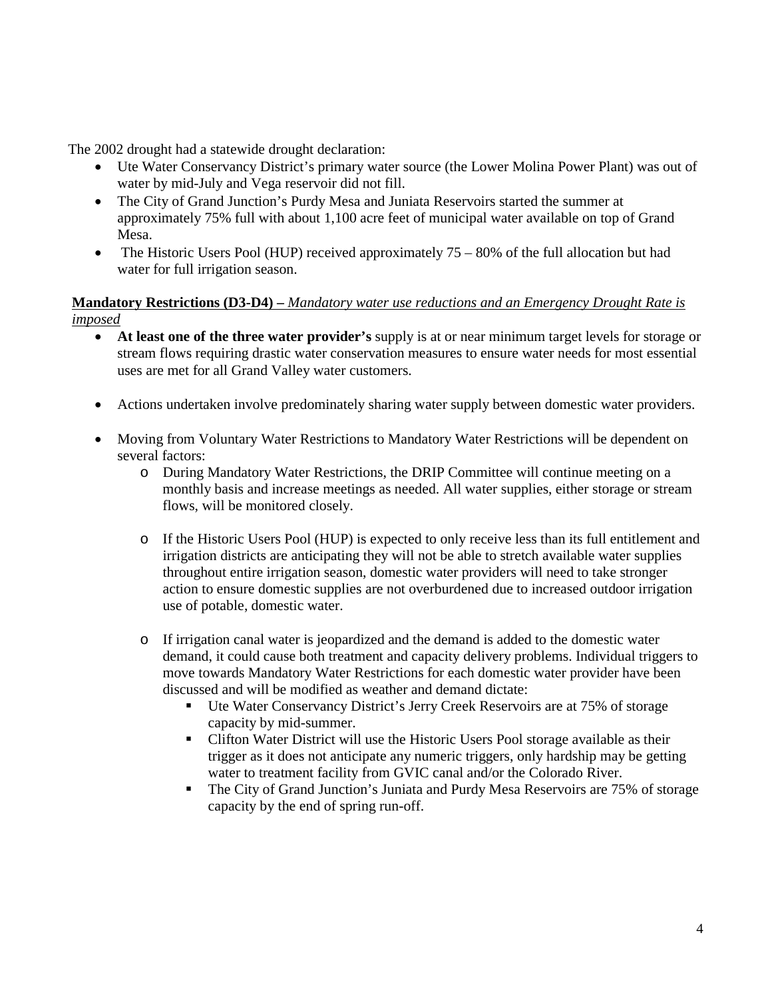The 2002 drought had a statewide drought declaration:

- Ute Water Conservancy District's primary water source (the Lower Molina Power Plant) was out of water by mid-July and Vega reservoir did not fill.
- The City of Grand Junction's Purdy Mesa and Juniata Reservoirs started the summer at approximately 75% full with about 1,100 acre feet of municipal water available on top of Grand Mesa.
- The Historic Users Pool (HUP) received approximately  $75 80\%$  of the full allocation but had water for full irrigation season.

#### **Mandatory Restrictions (D3-D4) –** *Mandatory water use reductions and an Emergency Drought Rate is imposed*

- **At least one of the three water provider's** supply is at or near minimum target levels for storage or stream flows requiring drastic water conservation measures to ensure water needs for most essential uses are met for all Grand Valley water customers.
- Actions undertaken involve predominately sharing water supply between domestic water providers.
- Moving from Voluntary Water Restrictions to Mandatory Water Restrictions will be dependent on several factors:
	- o During Mandatory Water Restrictions, the DRIP Committee will continue meeting on a monthly basis and increase meetings as needed. All water supplies, either storage or stream flows, will be monitored closely.
	- o If the Historic Users Pool (HUP) is expected to only receive less than its full entitlement and irrigation districts are anticipating they will not be able to stretch available water supplies throughout entire irrigation season, domestic water providers will need to take stronger action to ensure domestic supplies are not overburdened due to increased outdoor irrigation use of potable, domestic water.
	- o If irrigation canal water is jeopardized and the demand is added to the domestic water demand, it could cause both treatment and capacity delivery problems. Individual triggers to move towards Mandatory Water Restrictions for each domestic water provider have been discussed and will be modified as weather and demand dictate:
		- Ute Water Conservancy District's Jerry Creek Reservoirs are at 75% of storage capacity by mid-summer.
		- Clifton Water District will use the Historic Users Pool storage available as their trigger as it does not anticipate any numeric triggers, only hardship may be getting water to treatment facility from GVIC canal and/or the Colorado River.
		- The City of Grand Junction's Juniata and Purdy Mesa Reservoirs are 75% of storage capacity by the end of spring run-off.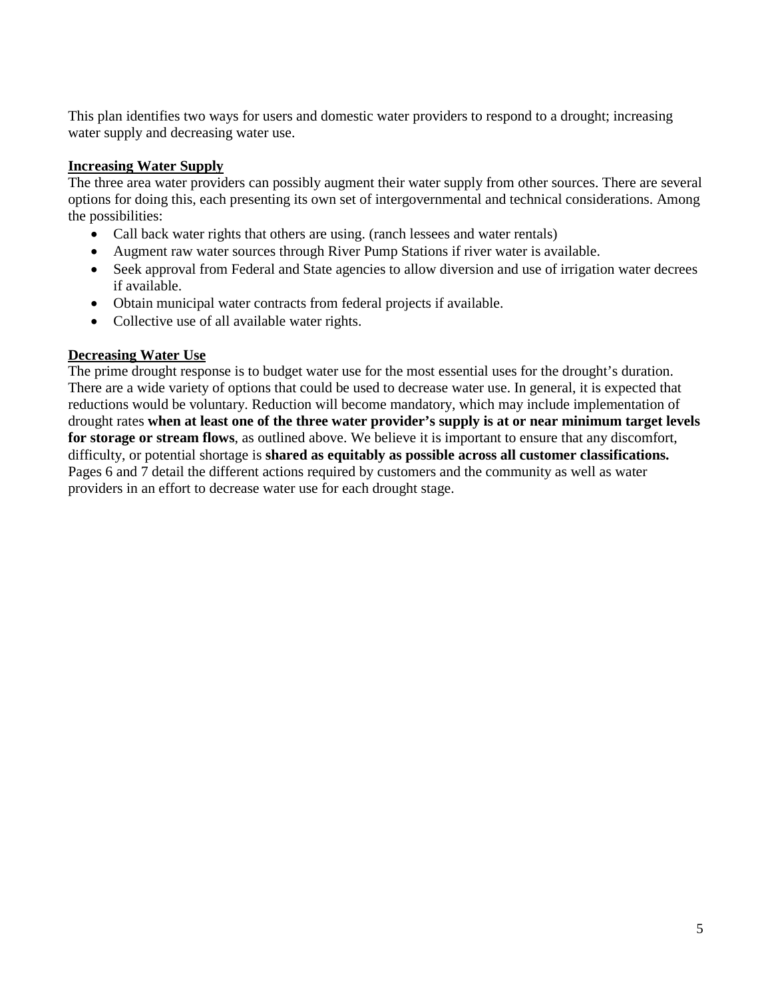This plan identifies two ways for users and domestic water providers to respond to a drought; increasing water supply and decreasing water use.

#### **Increasing Water Supply**

The three area water providers can possibly augment their water supply from other sources. There are several options for doing this, each presenting its own set of intergovernmental and technical considerations. Among the possibilities:

- Call back water rights that others are using. (ranch lessees and water rentals)
- Augment raw water sources through River Pump Stations if river water is available.
- Seek approval from Federal and State agencies to allow diversion and use of irrigation water decrees if available.
- Obtain municipal water contracts from federal projects if available.
- Collective use of all available water rights.

#### **Decreasing Water Use**

The prime drought response is to budget water use for the most essential uses for the drought's duration. There are a wide variety of options that could be used to decrease water use. In general, it is expected that reductions would be voluntary. Reduction will become mandatory, which may include implementation of drought rates **when at least one of the three water provider's supply is at or near minimum target levels for storage or stream flows**, as outlined above. We believe it is important to ensure that any discomfort, difficulty, or potential shortage is **shared as equitably as possible across all customer classifications.** Pages 6 and 7 detail the different actions required by customers and the community as well as water providers in an effort to decrease water use for each drought stage.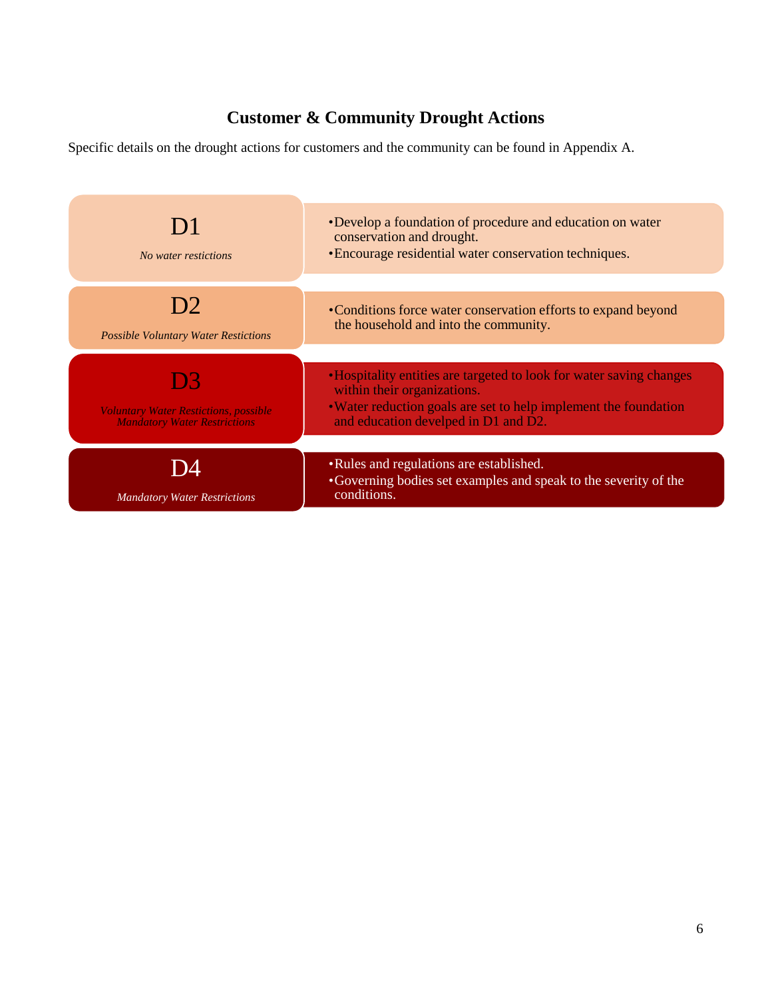### **Customer & Community Drought Actions**

Specific details on the drought actions for customers and the community can be found in Appendix A.

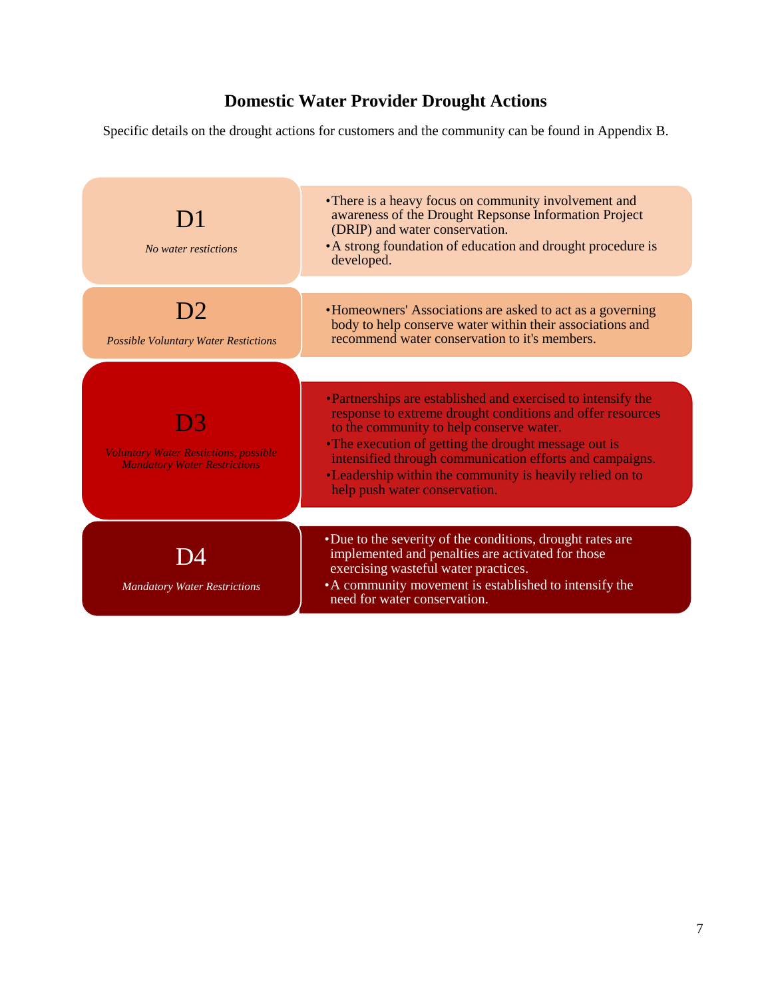### **Domestic Water Provider Drought Actions**

Specific details on the drought actions for customers and the community can be found in Appendix B.

| D1<br>No water restictions                                                                 | • There is a heavy focus on community involvement and<br>awareness of the Drought Repsonse Information Project<br>(DRIP) and water conservation.<br>• A strong foundation of education and drought procedure is<br>developed.                                                                                                                                                            |
|--------------------------------------------------------------------------------------------|------------------------------------------------------------------------------------------------------------------------------------------------------------------------------------------------------------------------------------------------------------------------------------------------------------------------------------------------------------------------------------------|
| 12<br><b>Possible Voluntary Water Restictions</b>                                          | •Homeowners' Associations are asked to act as a governing<br>body to help conserve water within their associations and<br>recommend water conservation to it's members.                                                                                                                                                                                                                  |
| 133<br><b>Voluntary Water Restictions, possible</b><br><b>Mandatory Water Restrictions</b> | •Partnerships are established and exercised to intensify the<br>response to extreme drought conditions and offer resources<br>to the community to help conserve water.<br>• The execution of getting the drought message out is<br>intensified through communication efforts and campaigns.<br>•Leadership within the community is heavily relied on to<br>help push water conservation. |
| <b>Mandatory Water Restrictions</b>                                                        | •Due to the severity of the conditions, drought rates are<br>implemented and penalties are activated for those<br>exercising wasteful water practices.<br>• A community movement is established to intensify the<br>need for water conservation.                                                                                                                                         |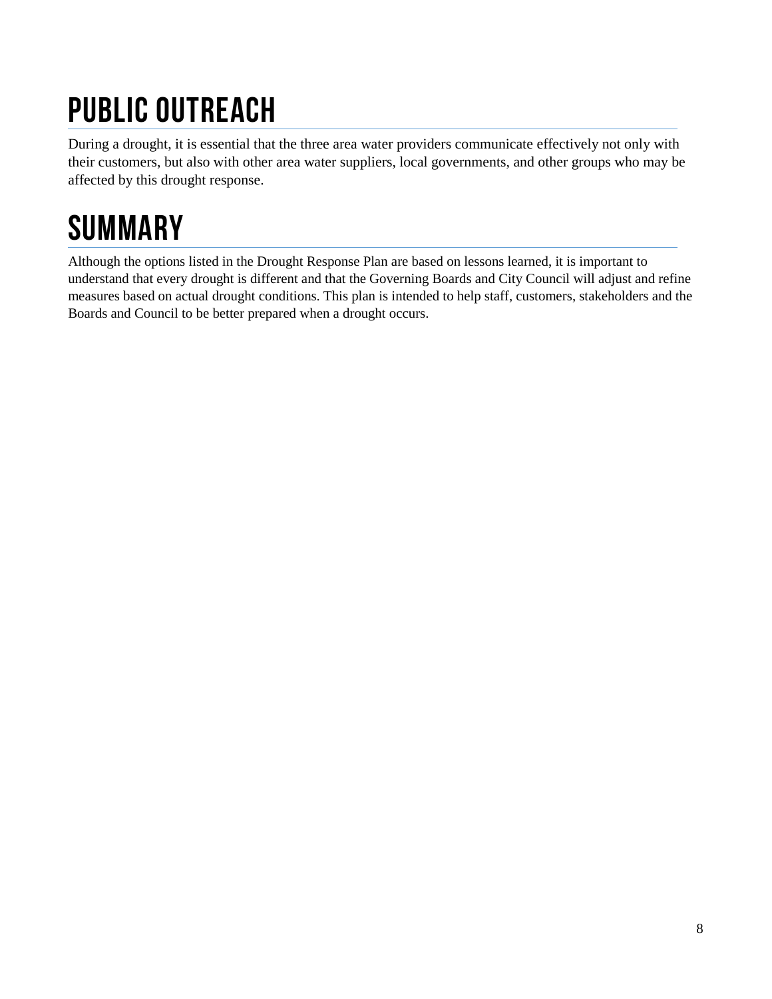# Public Outreach

During a drought, it is essential that the three area water providers communicate effectively not only with their customers, but also with other area water suppliers, local governments, and other groups who may be affected by this drought response.

# **SUMMARY**

Although the options listed in the Drought Response Plan are based on lessons learned, it is important to understand that every drought is different and that the Governing Boards and City Council will adjust and refine measures based on actual drought conditions. This plan is intended to help staff, customers, stakeholders and the Boards and Council to be better prepared when a drought occurs.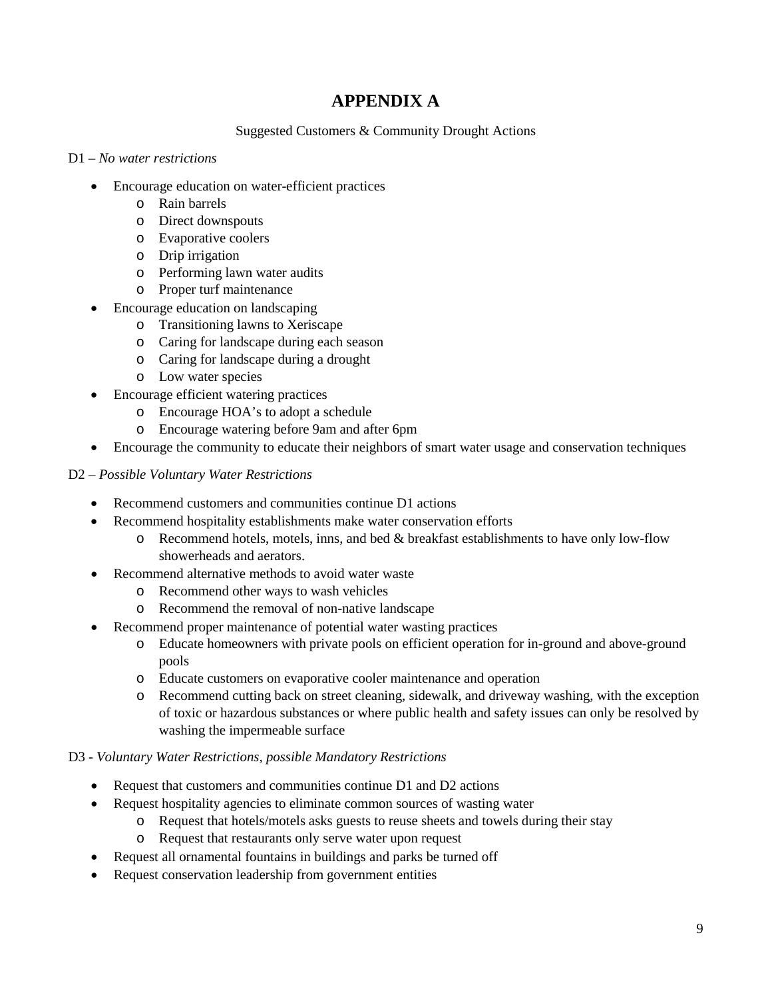### **APPENDIX A**

#### Suggested Customers & Community Drought Actions

#### D1 – *No water restrictions*

- Encourage education on water-efficient practices
	- o Rain barrels
	- o Direct downspouts
	- o Evaporative coolers
	- o Drip irrigation
	- o Performing lawn water audits
	- o Proper turf maintenance
	- Encourage education on landscaping
		- o Transitioning lawns to Xeriscape
		- o Caring for landscape during each season
		- o Caring for landscape during a drought
		- o Low water species
- Encourage efficient watering practices
	- o Encourage HOA's to adopt a schedule
	- o Encourage watering before 9am and after 6pm
- Encourage the community to educate their neighbors of smart water usage and conservation techniques

#### D2 – *Possible Voluntary Water Restrictions*

- Recommend customers and communities continue D1 actions
- Recommend hospitality establishments make water conservation efforts
	- $\circ$  Recommend hotels, motels, inns, and bed & breakfast establishments to have only low-flow showerheads and aerators.
- Recommend alternative methods to avoid water waste
	- o Recommend other ways to wash vehicles
	- o Recommend the removal of non-native landscape
- Recommend proper maintenance of potential water wasting practices
	- o Educate homeowners with private pools on efficient operation for in-ground and above-ground pools
	- o Educate customers on evaporative cooler maintenance and operation
	- o Recommend cutting back on street cleaning, sidewalk, and driveway washing, with the exception of toxic or hazardous substances or where public health and safety issues can only be resolved by washing the impermeable surface

#### D3 - *Voluntary Water Restrictions, possible Mandatory Restrictions*

- Request that customers and communities continue D1 and D2 actions
- Request hospitality agencies to eliminate common sources of wasting water
	- o Request that hotels/motels asks guests to reuse sheets and towels during their stay
	- o Request that restaurants only serve water upon request
- Request all ornamental fountains in buildings and parks be turned off
- Request conservation leadership from government entities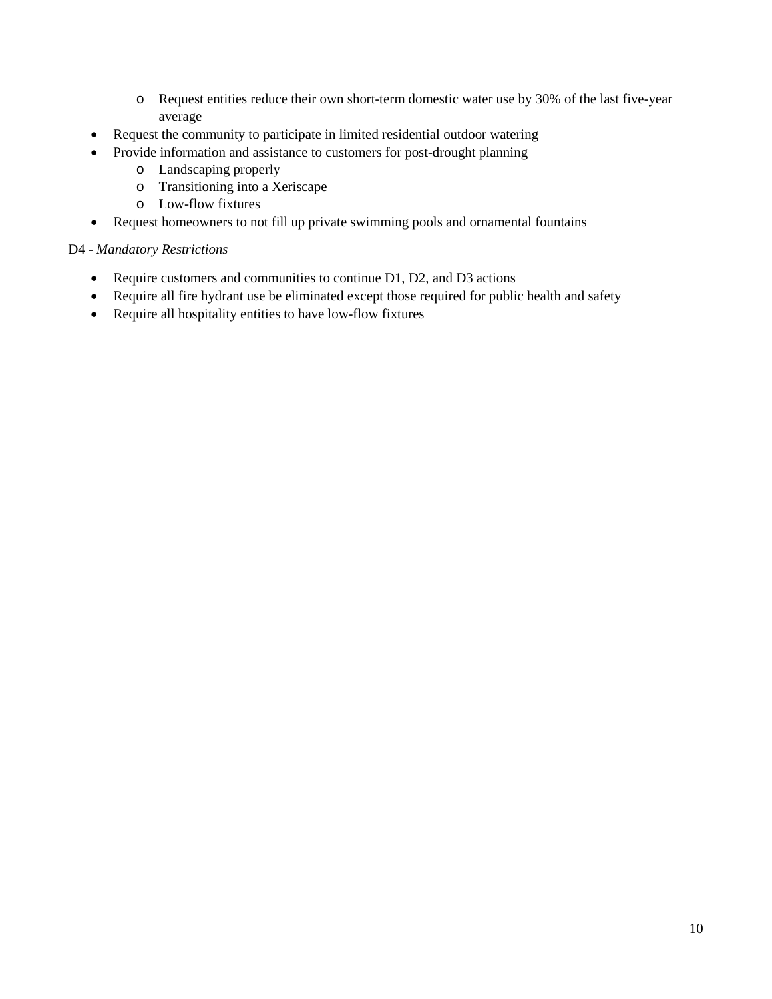- o Request entities reduce their own short-term domestic water use by 30% of the last five-year average
- Request the community to participate in limited residential outdoor watering
- Provide information and assistance to customers for post-drought planning
	- o Landscaping properly
	- o Transitioning into a Xeriscape
	- o Low-flow fixtures
- Request homeowners to not fill up private swimming pools and ornamental fountains

#### D4 - *Mandatory Restrictions*

- Require customers and communities to continue D1, D2, and D3 actions
- Require all fire hydrant use be eliminated except those required for public health and safety
- Require all hospitality entities to have low-flow fixtures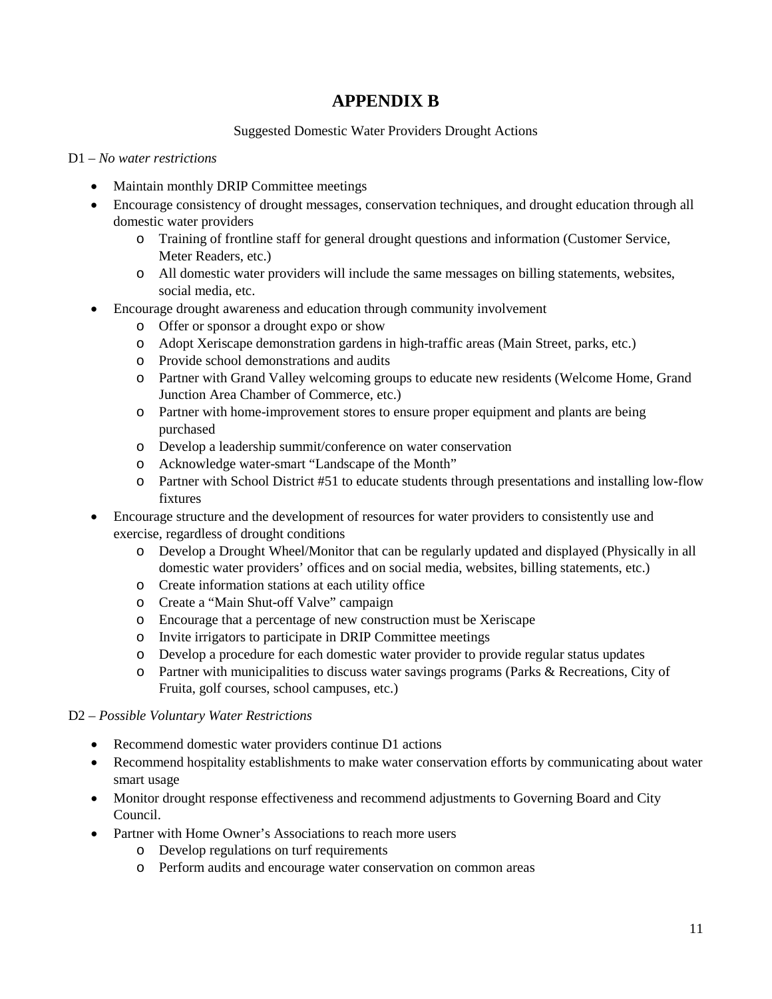### **APPENDIX B**

#### Suggested Domestic Water Providers Drought Actions

#### D1 – *No water restrictions*

- Maintain monthly DRIP Committee meetings
- Encourage consistency of drought messages, conservation techniques, and drought education through all domestic water providers
	- o Training of frontline staff for general drought questions and information (Customer Service, Meter Readers, etc.)
	- o All domestic water providers will include the same messages on billing statements, websites, social media, etc.
- Encourage drought awareness and education through community involvement
	- o Offer or sponsor a drought expo or show
	- o Adopt Xeriscape demonstration gardens in high-traffic areas (Main Street, parks, etc.)
	- o Provide school demonstrations and audits
	- o Partner with Grand Valley welcoming groups to educate new residents (Welcome Home, Grand Junction Area Chamber of Commerce, etc.)
	- o Partner with home-improvement stores to ensure proper equipment and plants are being purchased
	- o Develop a leadership summit/conference on water conservation
	- o Acknowledge water-smart "Landscape of the Month"
	- o Partner with School District #51 to educate students through presentations and installing low-flow fixtures
- Encourage structure and the development of resources for water providers to consistently use and exercise, regardless of drought conditions
	- o Develop a Drought Wheel/Monitor that can be regularly updated and displayed (Physically in all domestic water providers' offices and on social media, websites, billing statements, etc.)
	- o Create information stations at each utility office
	- o Create a "Main Shut-off Valve" campaign
	- o Encourage that a percentage of new construction must be Xeriscape
	- o Invite irrigators to participate in DRIP Committee meetings
	- o Develop a procedure for each domestic water provider to provide regular status updates
	- o Partner with municipalities to discuss water savings programs (Parks & Recreations, City of Fruita, golf courses, school campuses, etc.)

#### D2 – *Possible Voluntary Water Restrictions*

- Recommend domestic water providers continue D1 actions
- Recommend hospitality establishments to make water conservation efforts by communicating about water smart usage
- Monitor drought response effectiveness and recommend adjustments to Governing Board and City Council.
- Partner with Home Owner's Associations to reach more users
	- o Develop regulations on turf requirements
	- o Perform audits and encourage water conservation on common areas